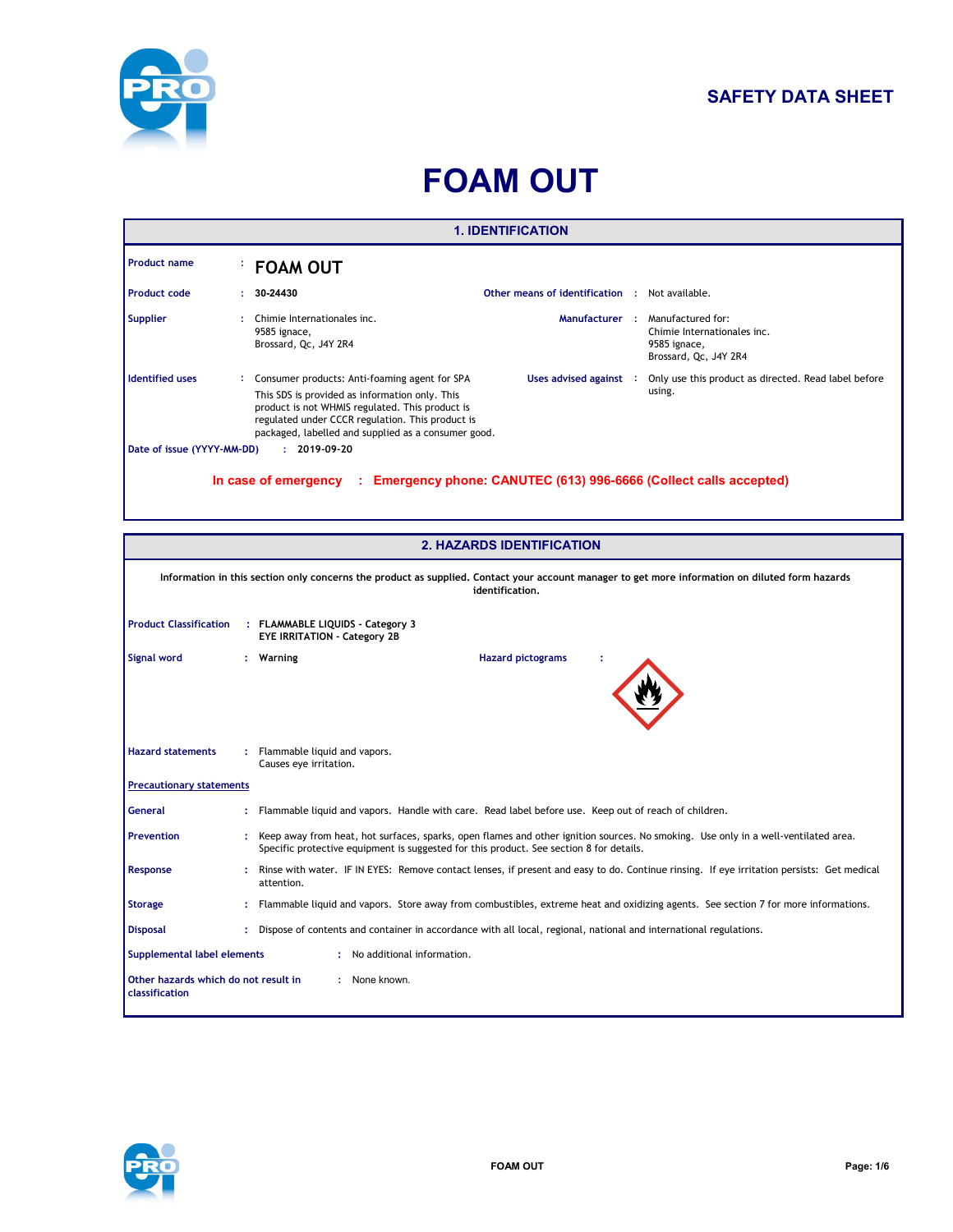

## **SAFETY DATA SHEET**

# **FOAM OUT**

| <b>1. IDENTIFICATION</b>                                                                                                                |  |                                                                                                                                                                                                                                                               |                                                       |  |                                                                                           |  |  |  |
|-----------------------------------------------------------------------------------------------------------------------------------------|--|---------------------------------------------------------------------------------------------------------------------------------------------------------------------------------------------------------------------------------------------------------------|-------------------------------------------------------|--|-------------------------------------------------------------------------------------------|--|--|--|
| <b>Product name</b>                                                                                                                     |  | <b>FOAM OUT</b>                                                                                                                                                                                                                                               |                                                       |  |                                                                                           |  |  |  |
| <b>Product code</b>                                                                                                                     |  | 30-24430                                                                                                                                                                                                                                                      | <b>Other means of identification : Not available.</b> |  |                                                                                           |  |  |  |
| <b>Supplier</b>                                                                                                                         |  | Chimie Internationales inc.<br>9585 ignace,<br>Brossard, Qc, J4Y 2R4                                                                                                                                                                                          | Manufacturer:                                         |  | Manufactured for:<br>Chimie Internationales inc.<br>9585 ignace,<br>Brossard, Qc, J4Y 2R4 |  |  |  |
| <b>Identified uses</b>                                                                                                                  |  | Consumer products: Anti-foaming agent for SPA<br>This SDS is provided as information only. This<br>product is not WHMIS regulated. This product is<br>regulated under CCCR regulation. This product is<br>packaged, labelled and supplied as a consumer good. | Uses advised against :                                |  | Only use this product as directed. Read label before<br>using.                            |  |  |  |
| Date of issue (YYYY-MM-DD)<br>$: 2019-09-20$<br>In case of emergency : Emergency phone: CANUTEC (613) 996-6666 (Collect calls accepted) |  |                                                                                                                                                                                                                                                               |                                                       |  |                                                                                           |  |  |  |

| <b>2. HAZARDS IDENTIFICATION</b>                                        |                                                                                                                                                                                                                               |                                                                                                                                                         |  |  |  |  |  |
|-------------------------------------------------------------------------|-------------------------------------------------------------------------------------------------------------------------------------------------------------------------------------------------------------------------------|---------------------------------------------------------------------------------------------------------------------------------------------------------|--|--|--|--|--|
|                                                                         | Information in this section only concerns the product as supplied. Contact your account manager to get more information on diluted form hazards<br>identification.                                                            |                                                                                                                                                         |  |  |  |  |  |
| <b>Product Classification</b>                                           | : FLAMMABLE LIQUIDS - Category 3<br><b>EYE IRRITATION - Category 2B</b>                                                                                                                                                       |                                                                                                                                                         |  |  |  |  |  |
| <b>Signal word</b>                                                      |                                                                                                                                                                                                                               | <b>Hazard pictograms</b><br>: Warning                                                                                                                   |  |  |  |  |  |
| <b>Hazard statements</b>                                                |                                                                                                                                                                                                                               | Flammable liquid and vapors.<br>Causes eye irritation.                                                                                                  |  |  |  |  |  |
| <b>Precautionary statements</b>                                         |                                                                                                                                                                                                                               |                                                                                                                                                         |  |  |  |  |  |
| <b>General</b>                                                          |                                                                                                                                                                                                                               | Flammable liquid and vapors. Handle with care. Read label before use. Keep out of reach of children.                                                    |  |  |  |  |  |
| Prevention                                                              | Keep away from heat, hot surfaces, sparks, open flames and other ignition sources. No smoking. Use only in a well-ventilated area.<br>Specific protective equipment is suggested for this product. See section 8 for details. |                                                                                                                                                         |  |  |  |  |  |
| Response                                                                |                                                                                                                                                                                                                               | Rinse with water. IF IN EYES: Remove contact lenses, if present and easy to do. Continue rinsing. If eye irritation persists: Get medical<br>attention. |  |  |  |  |  |
| <b>Storage</b>                                                          |                                                                                                                                                                                                                               | Flammable liquid and vapors. Store away from combustibles, extreme heat and oxidizing agents. See section 7 for more informations.                      |  |  |  |  |  |
| <b>Disposal</b>                                                         |                                                                                                                                                                                                                               | Dispose of contents and container in accordance with all local, regional, national and international regulations.                                       |  |  |  |  |  |
| Supplemental label elements                                             |                                                                                                                                                                                                                               | : No additional information.                                                                                                                            |  |  |  |  |  |
| : None known.<br>Other hazards which do not result in<br>classification |                                                                                                                                                                                                                               |                                                                                                                                                         |  |  |  |  |  |

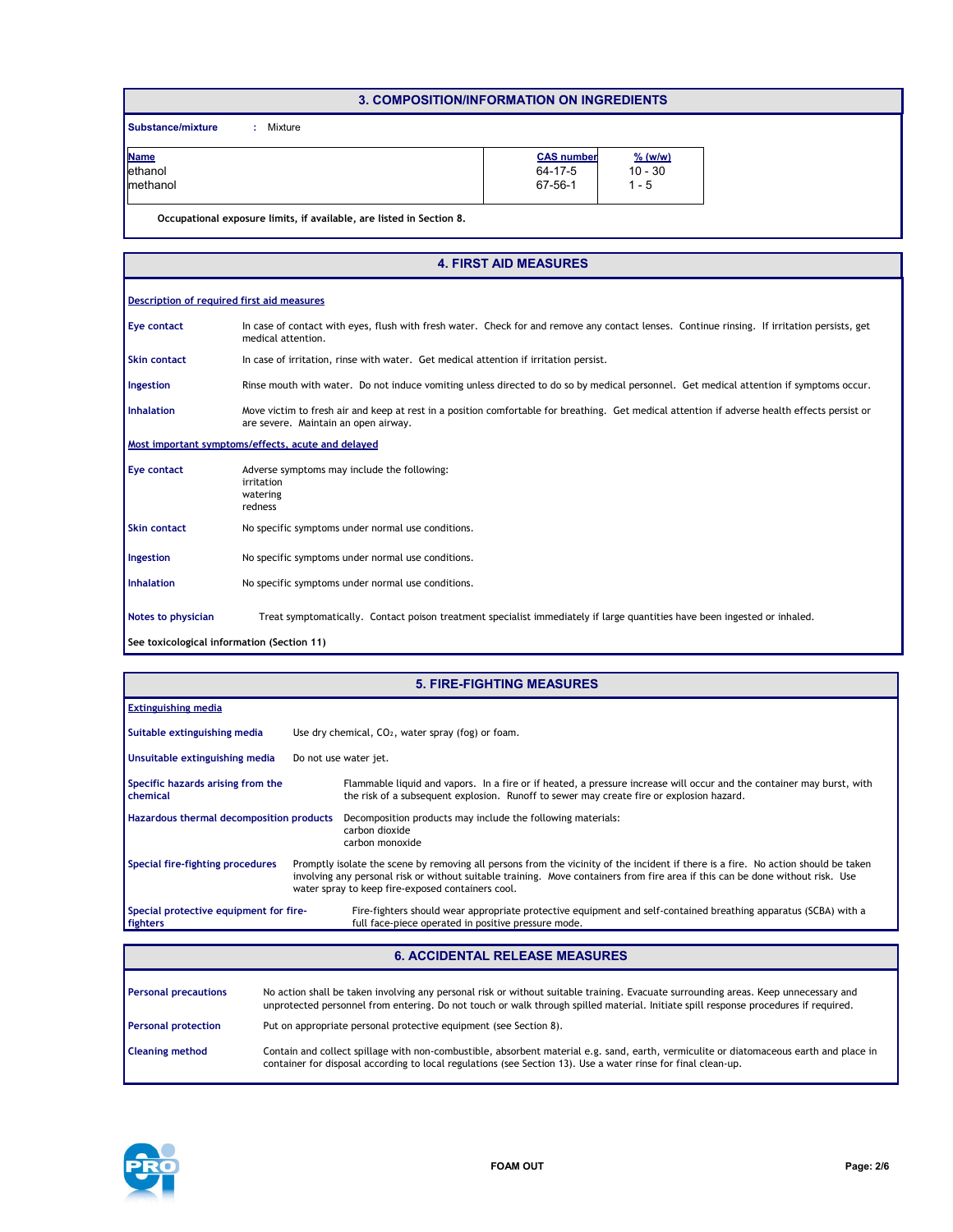#### **3. COMPOSITION/INFORMATION ON INGREDIENTS**

**Substance/mixture :** : Mixture

| <b>Name</b> | <b>CAS number</b> | $%$ (w/w) |
|-------------|-------------------|-----------|
| ethanol     | 64-17-5           | $10 - 30$ |
| Imethanol   | 67-56-1           | - 5       |
|             |                   |           |

**Occupational exposure limits, if available, are listed in Section 8.**

| <b>4. FIRST AID MEASURES</b>               |                                                                                                                                                                                       |  |  |  |  |  |  |  |
|--------------------------------------------|---------------------------------------------------------------------------------------------------------------------------------------------------------------------------------------|--|--|--|--|--|--|--|
|                                            | Description of required first aid measures                                                                                                                                            |  |  |  |  |  |  |  |
| <b>Eye contact</b>                         | In case of contact with eyes, flush with fresh water. Check for and remove any contact lenses. Continue rinsing. If irritation persists, get<br>medical attention.                    |  |  |  |  |  |  |  |
| <b>Skin contact</b>                        | In case of irritation, rinse with water. Get medical attention if irritation persist.                                                                                                 |  |  |  |  |  |  |  |
| Ingestion                                  | Rinse mouth with water. Do not induce vomiting unless directed to do so by medical personnel. Get medical attention if symptoms occur.                                                |  |  |  |  |  |  |  |
| <b>Inhalation</b>                          | Move victim to fresh air and keep at rest in a position comfortable for breathing. Get medical attention if adverse health effects persist or<br>are severe. Maintain an open airway. |  |  |  |  |  |  |  |
|                                            | Most important symptoms/effects, acute and delayed                                                                                                                                    |  |  |  |  |  |  |  |
| <b>Eye contact</b>                         | Adverse symptoms may include the following:<br>irritation<br>watering<br>redness                                                                                                      |  |  |  |  |  |  |  |
| <b>Skin contact</b>                        | No specific symptoms under normal use conditions.                                                                                                                                     |  |  |  |  |  |  |  |
| Ingestion                                  | No specific symptoms under normal use conditions.                                                                                                                                     |  |  |  |  |  |  |  |
| <b>Inhalation</b>                          | No specific symptoms under normal use conditions.                                                                                                                                     |  |  |  |  |  |  |  |
| Notes to physician                         | Treat symptomatically. Contact poison treatment specialist immediately if large quantities have been ingested or inhaled.                                                             |  |  |  |  |  |  |  |
| See toxicological information (Section 11) |                                                                                                                                                                                       |  |  |  |  |  |  |  |

| <b>5. FIRE-FIGHTING MEASURES</b>                   |  |                                                                                                                                                                                                                                                                                                                           |  |  |  |
|----------------------------------------------------|--|---------------------------------------------------------------------------------------------------------------------------------------------------------------------------------------------------------------------------------------------------------------------------------------------------------------------------|--|--|--|
| <b>Extinguishing media</b>                         |  |                                                                                                                                                                                                                                                                                                                           |  |  |  |
| Suitable extinguishing media                       |  | Use dry chemical, $CO2$ , water spray (fog) or foam.                                                                                                                                                                                                                                                                      |  |  |  |
| Unsuitable extinguishing media                     |  | Do not use water jet.                                                                                                                                                                                                                                                                                                     |  |  |  |
| Specific hazards arising from the<br>chemical      |  | Flammable liquid and vapors. In a fire or if heated, a pressure increase will occur and the container may burst, with<br>the risk of a subsequent explosion. Runoff to sewer may create fire or explosion hazard.                                                                                                         |  |  |  |
| Hazardous thermal decomposition products           |  | Decomposition products may include the following materials:<br>carbon dioxide<br>carbon monoxide                                                                                                                                                                                                                          |  |  |  |
| Special fire-fighting procedures                   |  | Promptly isolate the scene by removing all persons from the vicinity of the incident if there is a fire. No action should be taken<br>involving any personal risk or without suitable training. Move containers from fire area if this can be done without risk. Use<br>water spray to keep fire-exposed containers cool. |  |  |  |
| Special protective equipment for fire-<br>fighters |  | Fire-fighters should wear appropriate protective equipment and self-contained breathing apparatus (SCBA) with a<br>full face-piece operated in positive pressure mode.                                                                                                                                                    |  |  |  |

#### **6. ACCIDENTAL RELEASE MEASURES**

| <b>Personal precautions</b> | No action shall be taken involving any personal risk or without suitable training. Evacuate surrounding areas. Keep unnecessary and<br>unprotected personnel from entering. Do not touch or walk through spilled material. Initiate spill response procedures if required. |
|-----------------------------|----------------------------------------------------------------------------------------------------------------------------------------------------------------------------------------------------------------------------------------------------------------------------|
| <b>Personal protection</b>  | Put on appropriate personal protective equipment (see Section 8).                                                                                                                                                                                                          |
| <b>Cleaning method</b>      | Contain and collect spillage with non-combustible, absorbent material e.g. sand, earth, vermiculite or diatomaceous earth and place in<br>container for disposal according to local regulations (see Section 13). Use a water rinse for final clean-up.                    |

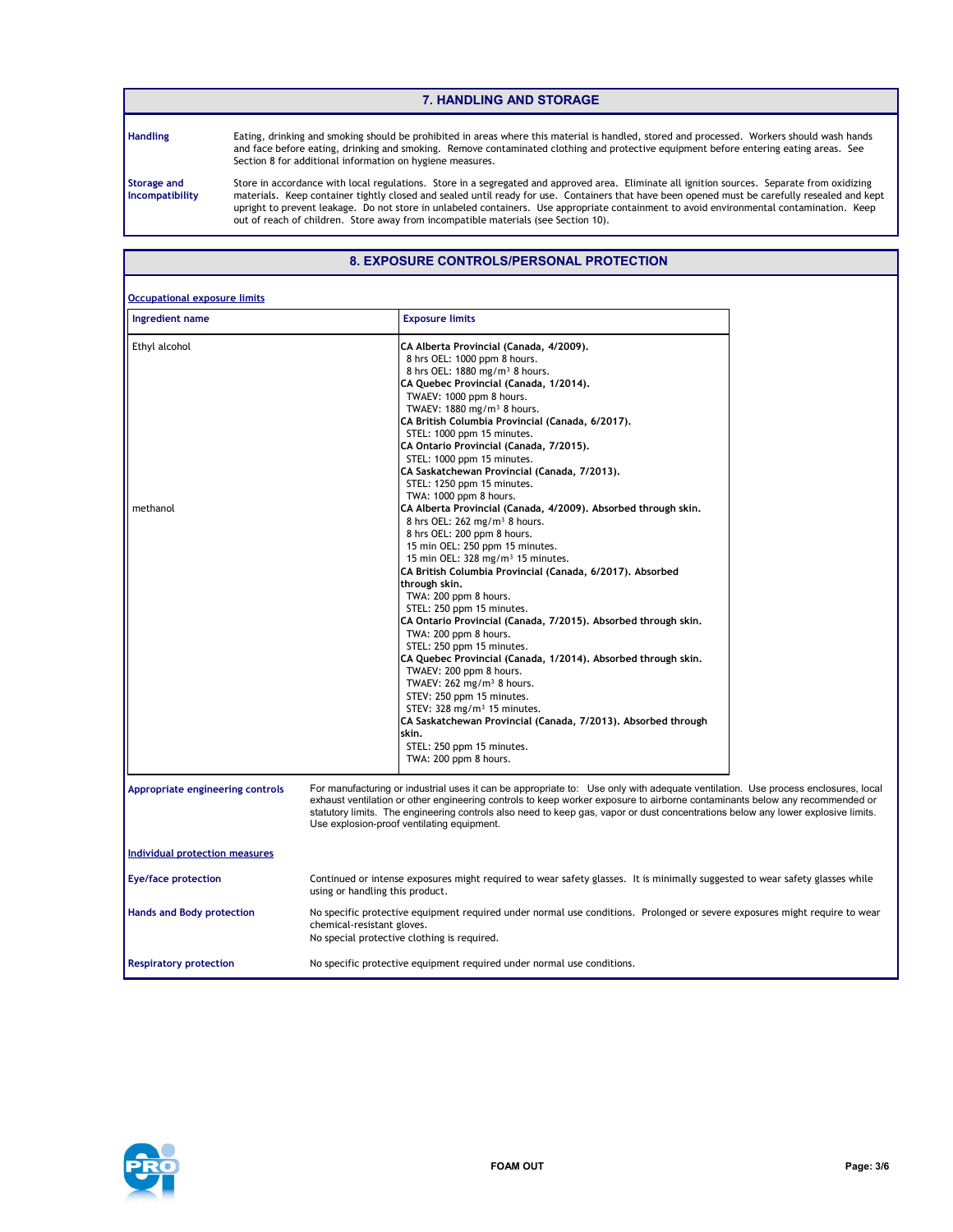#### **7. HANDLING AND STORAGE**

**Handling**

Eating, drinking and smoking should be prohibited in areas where this material is handled, stored and processed. Workers should wash hands and face before eating, drinking and smoking. Remove contaminated clothing and protective equipment before entering eating areas. See Section 8 for additional information on hygiene measures.

**Storage and Incompatibility**

Store in accordance with local regulations. Store in a segregated and approved area. Eliminate all ignition sources. Separate from oxidizing materials. Keep container tightly closed and sealed until ready for use. Containers that have been opened must be carefully resealed and kept upright to prevent leakage. Do not store in unlabeled containers. Use appropriate containment to avoid environmental contamination. Keep out of reach of children. Store away from incompatible materials (see Section 10).

#### **8. EXPOSURE CONTROLS/PERSONAL PROTECTION**

| <b>Occupational exposure limits</b>   |                                                                                                                                                                                                                                                                                                                                                                                                                                                                                                                                                                                                                                                                                                                                                                                                                                                                                                                                                                                                                                                                                                                                                                                                                                                                                                                                                      |
|---------------------------------------|------------------------------------------------------------------------------------------------------------------------------------------------------------------------------------------------------------------------------------------------------------------------------------------------------------------------------------------------------------------------------------------------------------------------------------------------------------------------------------------------------------------------------------------------------------------------------------------------------------------------------------------------------------------------------------------------------------------------------------------------------------------------------------------------------------------------------------------------------------------------------------------------------------------------------------------------------------------------------------------------------------------------------------------------------------------------------------------------------------------------------------------------------------------------------------------------------------------------------------------------------------------------------------------------------------------------------------------------------|
| Ingredient name                       | <b>Exposure limits</b>                                                                                                                                                                                                                                                                                                                                                                                                                                                                                                                                                                                                                                                                                                                                                                                                                                                                                                                                                                                                                                                                                                                                                                                                                                                                                                                               |
| Ethyl alcohol<br>methanol             | CA Alberta Provincial (Canada, 4/2009).<br>8 hrs OEL: 1000 ppm 8 hours.<br>8 hrs OEL: 1880 mg/m <sup>3</sup> 8 hours.<br>CA Quebec Provincial (Canada, 1/2014).<br>TWAEV: 1000 ppm 8 hours.<br>TWAEV: 1880 mg/m <sup>3</sup> 8 hours.<br>CA British Columbia Provincial (Canada, 6/2017),<br>STEL: 1000 ppm 15 minutes.<br>CA Ontario Provincial (Canada, 7/2015).<br>STEL: 1000 ppm 15 minutes.<br>CA Saskatchewan Provincial (Canada, 7/2013).<br>STEL: 1250 ppm 15 minutes.<br>TWA: 1000 ppm 8 hours.<br>CA Alberta Provincial (Canada, 4/2009), Absorbed through skin,<br>8 hrs OEL: 262 mg/m <sup>3</sup> 8 hours.<br>8 hrs OEL: 200 ppm 8 hours.<br>15 min OEL: 250 ppm 15 minutes.<br>15 min OEL: 328 mg/m <sup>3</sup> 15 minutes.<br>CA British Columbia Provincial (Canada, 6/2017). Absorbed<br>through skin.<br>TWA: 200 ppm 8 hours.<br>STEL: 250 ppm 15 minutes.<br>CA Ontario Provincial (Canada, 7/2015). Absorbed through skin.<br>TWA: 200 ppm 8 hours.<br>STEL: 250 ppm 15 minutes.<br>CA Quebec Provincial (Canada, 1/2014). Absorbed through skin.<br>TWAEV: 200 ppm 8 hours.<br>TWAEV: $262$ mg/m <sup>3</sup> 8 hours.<br>STEV: 250 ppm 15 minutes.<br>STEV: $328 \text{ mg/m}^3$ 15 minutes.<br>CA Saskatchewan Provincial (Canada, 7/2013). Absorbed through<br>skin.<br>STEL: 250 ppm 15 minutes.<br>TWA: 200 ppm 8 hours. |
| Appropriate engineering controls      | For manufacturing or industrial uses it can be appropriate to: Use only with adequate ventilation. Use process enclosures, local<br>exhaust ventilation or other engineering controls to keep worker exposure to airborne contaminants below any recommended or<br>statutory limits. The engineering controls also need to keep gas, vapor or dust concentrations below any lower explosive limits.<br>Use explosion-proof ventilating equipment.                                                                                                                                                                                                                                                                                                                                                                                                                                                                                                                                                                                                                                                                                                                                                                                                                                                                                                    |
| <b>Individual protection measures</b> |                                                                                                                                                                                                                                                                                                                                                                                                                                                                                                                                                                                                                                                                                                                                                                                                                                                                                                                                                                                                                                                                                                                                                                                                                                                                                                                                                      |
| <b>Eye/face protection</b>            | Continued or intense exposures might required to wear safety glasses. It is minimally suggested to wear safety glasses while<br>using or handling this product.                                                                                                                                                                                                                                                                                                                                                                                                                                                                                                                                                                                                                                                                                                                                                                                                                                                                                                                                                                                                                                                                                                                                                                                      |
| <b>Hands and Body protection</b>      | No specific protective equipment required under normal use conditions. Prolonged or severe exposures might require to wear<br>chemical-resistant gloves.<br>No special protective clothing is required.                                                                                                                                                                                                                                                                                                                                                                                                                                                                                                                                                                                                                                                                                                                                                                                                                                                                                                                                                                                                                                                                                                                                              |
| <b>Respiratory protection</b>         | No specific protective equipment required under normal use conditions.                                                                                                                                                                                                                                                                                                                                                                                                                                                                                                                                                                                                                                                                                                                                                                                                                                                                                                                                                                                                                                                                                                                                                                                                                                                                               |

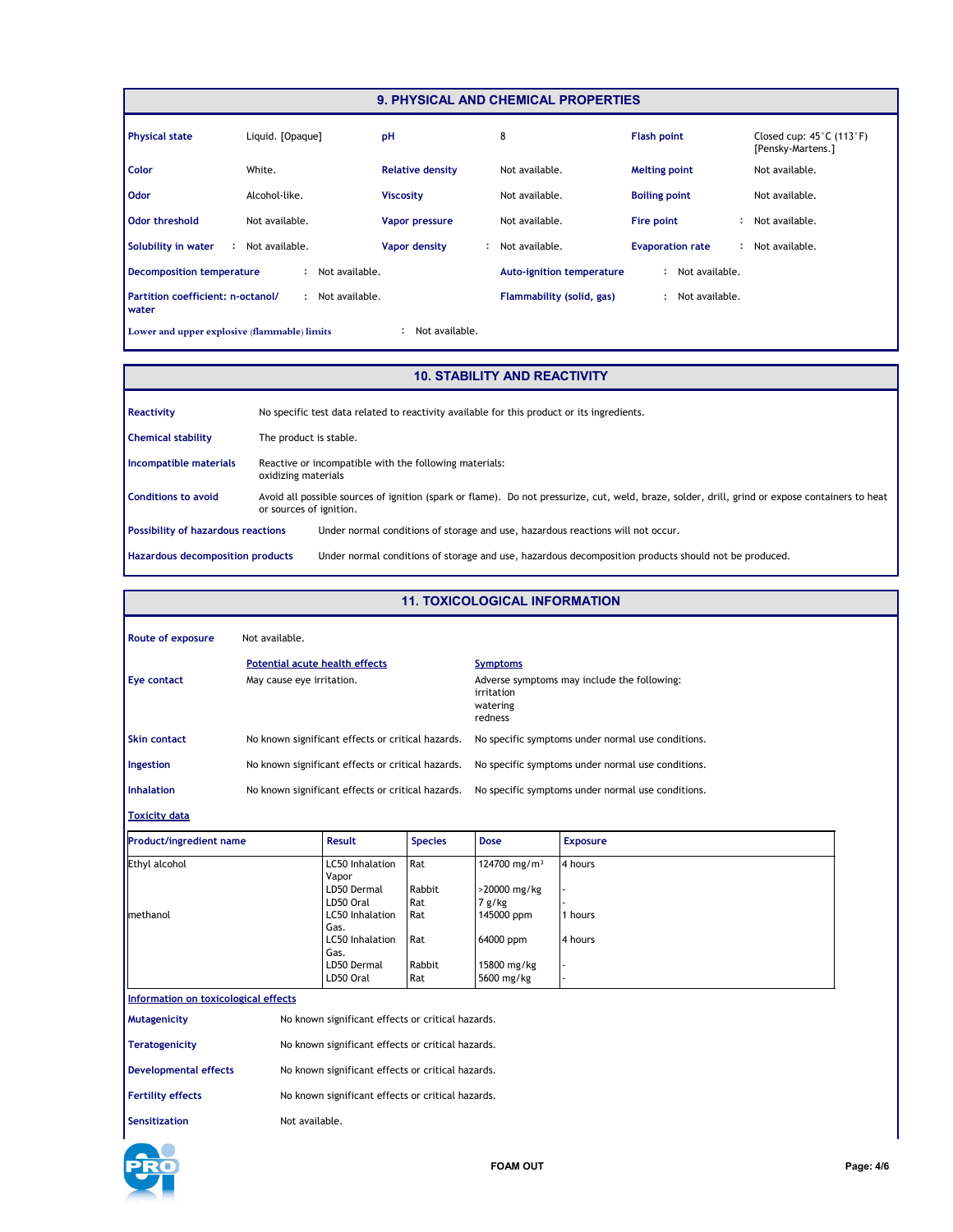| <b>9. PHYSICAL AND CHEMICAL PROPERTIES</b>                                                                          |                  |                         |                                  |                         |                                                                    |  |  |
|---------------------------------------------------------------------------------------------------------------------|------------------|-------------------------|----------------------------------|-------------------------|--------------------------------------------------------------------|--|--|
| <b>Physical state</b>                                                                                               | Liquid. [Opaque] | pH                      | 8                                | <b>Flash point</b>      | Closed cup: $45^{\circ}$ C (113 $^{\circ}$ F)<br>[Pensky-Martens.] |  |  |
| Color                                                                                                               | White.           | <b>Relative density</b> | Not available.                   | <b>Melting point</b>    | Not available.                                                     |  |  |
| Odor                                                                                                                | Alcohol-like.    | <b>Viscosity</b>        | Not available.                   | <b>Boiling point</b>    | Not available.                                                     |  |  |
| Odor threshold                                                                                                      | Not available.   | Vapor pressure          | Not available.                   | Fire point              | Not available.                                                     |  |  |
| Solubility in water                                                                                                 | : Not available. | Vapor density           | Not available.<br>÷.             | <b>Evaporation rate</b> | : Not available.                                                   |  |  |
| <b>Decomposition temperature</b>                                                                                    | Not available.   |                         | <b>Auto-ignition temperature</b> | : Not available.        |                                                                    |  |  |
| Partition coefficient: n-octanol/<br>: Not available.<br>Flammability (solid, gas)<br>Not available.<br>÷.<br>water |                  |                         |                                  |                         |                                                                    |  |  |
| Not available.<br>Lower and upper explosive (flammable) limits<br>÷                                                 |                  |                         |                                  |                         |                                                                    |  |  |

#### **10. STABILITY AND REACTIVITY**

| Reactivity                                | No specific test data related to reactivity available for this product or its ingredients.                                                                                 |  |  |  |
|-------------------------------------------|----------------------------------------------------------------------------------------------------------------------------------------------------------------------------|--|--|--|
| <b>Chemical stability</b>                 | The product is stable.                                                                                                                                                     |  |  |  |
| Incompatible materials                    | Reactive or incompatible with the following materials:<br>oxidizing materials                                                                                              |  |  |  |
| <b>Conditions to avoid</b>                | Avoid all possible sources of ignition (spark or flame). Do not pressurize, cut, weld, braze, solder, drill, grind or expose containers to heat<br>or sources of ignition. |  |  |  |
| <b>Possibility of hazardous reactions</b> | Under normal conditions of storage and use, hazardous reactions will not occur.                                                                                            |  |  |  |
| Hazardous decomposition products          | Under normal conditions of storage and use, hazardous decomposition products should not be produced.                                                                       |  |  |  |

| <b>11. TOXICOLOGICAL INFORMATION</b>                                              |                |                                                                                                                                        |                                                     |                                                                                                            |                                                   |  |
|-----------------------------------------------------------------------------------|----------------|----------------------------------------------------------------------------------------------------------------------------------------|-----------------------------------------------------|------------------------------------------------------------------------------------------------------------|---------------------------------------------------|--|
| <b>Route of exposure</b>                                                          | Not available. |                                                                                                                                        |                                                     |                                                                                                            |                                                   |  |
| <b>Potential acute health effects</b><br>Eye contact<br>May cause eye irritation. |                |                                                                                                                                        |                                                     | <b>Symptoms</b><br>Adverse symptoms may include the following:<br>irritation<br>watering<br>redness        |                                                   |  |
| <b>Skin contact</b>                                                               |                | No known significant effects or critical hazards.                                                                                      |                                                     |                                                                                                            | No specific symptoms under normal use conditions. |  |
| Ingestion                                                                         |                | No known significant effects or critical hazards.                                                                                      |                                                     | No specific symptoms under normal use conditions.                                                          |                                                   |  |
| <b>Inhalation</b>                                                                 |                | No known significant effects or critical hazards.                                                                                      |                                                     |                                                                                                            | No specific symptoms under normal use conditions. |  |
| <b>Toxicity data</b>                                                              |                |                                                                                                                                        |                                                     |                                                                                                            |                                                   |  |
| <b>Product/ingredient name</b>                                                    |                | <b>Result</b>                                                                                                                          | <b>Species</b>                                      | <b>Dose</b>                                                                                                | <b>Exposure</b>                                   |  |
| Ethyl alcohol<br>methanol                                                         |                | LC50 Inhalation<br>Vapor<br>LD50 Dermal<br>LD50 Oral<br>LC50 Inhalation<br>Gas.<br>LC50 Inhalation<br>Gas.<br>LD50 Dermal<br>LD50 Oral | Rat<br>Rabbit<br>Rat<br>Rat<br>Rat<br>Rabbit<br>Rat | 124700 mg/m <sup>3</sup><br>>20000 mg/kg<br>7 g/kg<br>145000 ppm<br>64000 ppm<br>15800 mg/kg<br>5600 mg/kg | 4 hours<br>1 hours<br>4 hours                     |  |
| Information on toxicological effects                                              |                |                                                                                                                                        |                                                     |                                                                                                            |                                                   |  |
| Mutagenicity                                                                      |                | No known significant effects or critical hazards.                                                                                      |                                                     |                                                                                                            |                                                   |  |
| <b>Teratogenicity</b>                                                             |                | No known significant effects or critical hazards.                                                                                      |                                                     |                                                                                                            |                                                   |  |
| <b>Developmental effects</b><br>No known significant effects or critical hazards. |                |                                                                                                                                        |                                                     |                                                                                                            |                                                   |  |
| <b>Fertility effects</b>                                                          |                | No known significant effects or critical hazards.                                                                                      |                                                     |                                                                                                            |                                                   |  |
| <b>Sensitization</b>                                                              | Not available. |                                                                                                                                        |                                                     |                                                                                                            |                                                   |  |

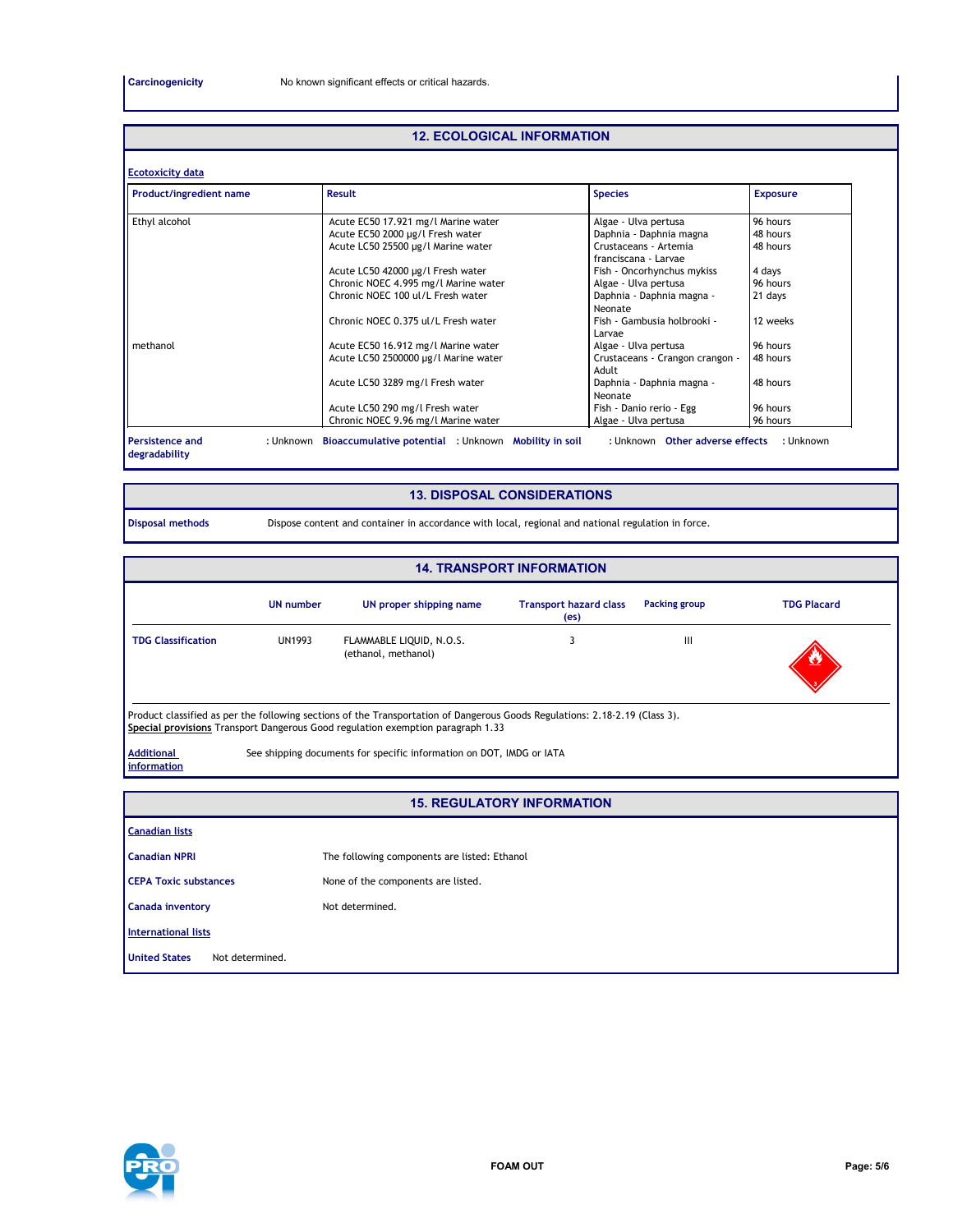#### **12. ECOLOGICAL INFORMATION**

| Product/ingredient name | Result                               | <b>Species</b>                                | <b>Exposure</b> |
|-------------------------|--------------------------------------|-----------------------------------------------|-----------------|
| Ethyl alcohol           | Acute EC50 17.921 mg/l Marine water  | Algae - Ulva pertusa                          | 96 hours        |
|                         | Acute EC50 2000 µg/l Fresh water     | Daphnia - Daphnia magna                       | 48 hours        |
|                         | Acute LC50 25500 µg/l Marine water   | Crustaceans - Artemia<br>franciscana - Larvae | 48 hours        |
|                         | Acute LC50 42000 µg/l Fresh water    | Fish - Oncorhynchus mykiss                    | 4 days          |
|                         | Chronic NOEC 4.995 mg/l Marine water | Algae - Ulva pertusa                          | 96 hours        |
|                         | Chronic NOEC 100 ul/L Fresh water    | Daphnia - Daphnia magna -<br>Neonate          | 21 days         |
|                         | Chronic NOEC 0.375 ul/L Fresh water  | Fish - Gambusia holbrooki -<br>Larvae         | 12 weeks        |
| methanol                | Acute EC50 16.912 mg/l Marine water  | Algae - Ulva pertusa                          | 96 hours        |
|                         | Acute LC50 2500000 µg/l Marine water | Crustaceans - Crangon crangon -<br>Adult      | 48 hours        |
|                         | Acute LC50 3289 mg/l Fresh water     | Daphnia - Daphnia magna -<br>Neonate          | 48 hours        |
|                         | Acute LC50 290 mg/l Fresh water      | Fish - Danio rerio - Egg                      | 96 hours        |
|                         | Chronic NOEC 9.96 mg/l Marine water  | Algae - Ulva pertusa                          | 96 hours        |

### **13. DISPOSAL CONSIDERATIONS**

**Disposal methods** Dispose content and container in accordance with local, regional and national regulation in force.

| <b>14. TRANSPORT INFORMATION</b>                                                                                                                                                                               |                  |                                                                      |                                                    |               |                    |  |  |
|----------------------------------------------------------------------------------------------------------------------------------------------------------------------------------------------------------------|------------------|----------------------------------------------------------------------|----------------------------------------------------|---------------|--------------------|--|--|
|                                                                                                                                                                                                                | <b>UN number</b> | UN proper shipping name                                              | <b>Transport hazard class</b><br>(e <sub>s</sub> ) | Packing group | <b>TDG Placard</b> |  |  |
| <b>TDG Classification</b>                                                                                                                                                                                      | <b>UN1993</b>    | FLAMMABLE LIQUID, N.O.S.<br>(ethanol, methanol)                      |                                                    | Ш             |                    |  |  |
| Product classified as per the following sections of the Transportation of Dangerous Goods Regulations: 2.18-2.19 (Class 3).<br>Special provisions Transport Dangerous Good regulation exemption paragraph 1.33 |                  |                                                                      |                                                    |               |                    |  |  |
| <b>Additional</b><br>information                                                                                                                                                                               |                  | See shipping documents for specific information on DOT, IMDG or IATA |                                                    |               |                    |  |  |

#### **15. REGULATORY INFORMATION**

| <b>Canadian lists</b>                   |                                              |  |  |  |
|-----------------------------------------|----------------------------------------------|--|--|--|
| <b>Canadian NPRI</b>                    | The following components are listed: Ethanol |  |  |  |
| <b>CEPA Toxic substances</b>            | None of the components are listed.           |  |  |  |
| <b>Canada inventory</b>                 | Not determined.                              |  |  |  |
| <b>International lists</b>              |                                              |  |  |  |
| <b>United States</b><br>Not determined. |                                              |  |  |  |